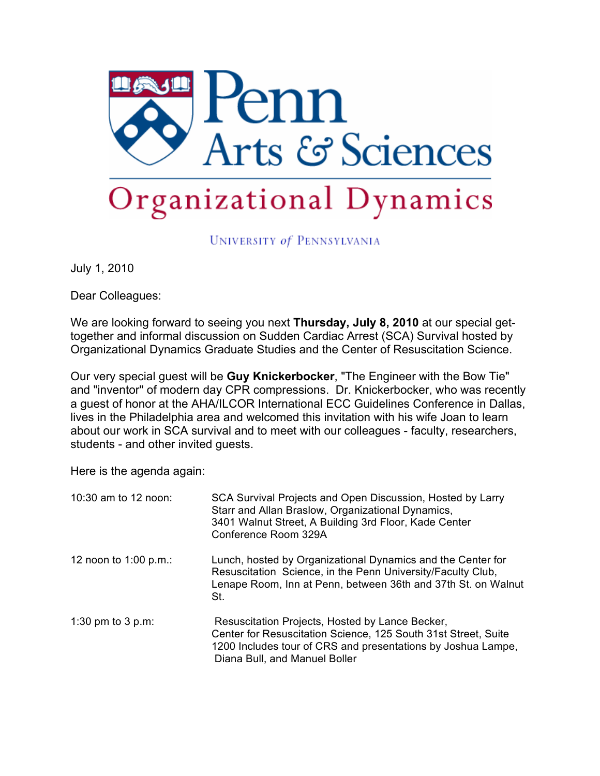

UNIVERSITY of PENNSYLVANIA

July 1, 2010

Dear Colleagues:

We are looking forward to seeing you next **Thursday, July 8, 2010** at our special gettogether and informal discussion on Sudden Cardiac Arrest (SCA) Survival hosted by Organizational Dynamics Graduate Studies and the Center of Resuscitation Science.

Our very special guest will be **Guy Knickerbocker**, "The Engineer with the Bow Tie" and "inventor" of modern day CPR compressions. Dr. Knickerbocker, who was recently a guest of honor at the AHA/ILCOR International ECC Guidelines Conference in Dallas, lives in the Philadelphia area and welcomed this invitation with his wife Joan to learn about our work in SCA survival and to meet with our colleagues - faculty, researchers, students - and other invited guests.

Here is the agenda again:

| 10:30 am to 12 noon:  | SCA Survival Projects and Open Discussion, Hosted by Larry<br>Starr and Allan Braslow, Organizational Dynamics,<br>3401 Walnut Street, A Building 3rd Floor, Kade Center<br>Conference Room 329A                   |
|-----------------------|--------------------------------------------------------------------------------------------------------------------------------------------------------------------------------------------------------------------|
| 12 noon to 1:00 p.m.: | Lunch, hosted by Organizational Dynamics and the Center for<br>Resuscitation Science, in the Penn University/Faculty Club,<br>Lenape Room, Inn at Penn, between 36th and 37th St. on Walnut<br>St.                 |
| 1:30 pm to 3 p.m:     | Resuscitation Projects, Hosted by Lance Becker,<br>Center for Resuscitation Science, 125 South 31st Street, Suite<br>1200 Includes tour of CRS and presentations by Joshua Lampe,<br>Diana Bull, and Manuel Boller |